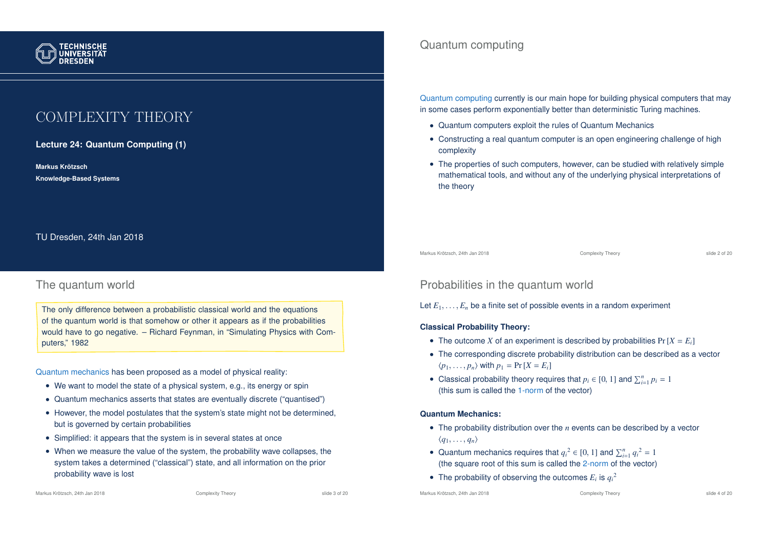

# COMPLEXITY THEORY

**Lecture 24: Quantum Computing (1)**

**Markus Krotzsch ¨ Knowledge-Based Systems**

TU Dresden, 24th Jan 2018

# The quantum world

The only difference between a probabilistic classical world and the equations of the quantum world is that somehow or other it appears as if the probabilities would have to go negative. – Richard Feynman, in "Simulating Physics with Computers," 1982

Quantum mechanics has been proposed as a model of physical reality:

- We want to model the state of a physical system, e.g., its energy or spin
- Quantum mechanics asserts that states are eventually discrete ("quantised")
- However, the model postulates that the system's state might not be determined, but is governed by certain probabilities
- Simplified: it appears that the system is in several states at once
- When we measure the value of the system, the probability wave collapses, the system takes a determined ("classical") state, and all information on the prior probability wave is lost

## Quantum computing

Quantum computing currently is our main hope for building physical computers that may in some cases perform exponentially better than deterministic Turing machines.

- Quantum computers exploit the rules of Quantum Mechanics
- Constructing a real quantum computer is an open engineering challenge of high complexity
- The properties of such computers, however, can be studied with relatively simple mathematical tools, and without any of the underlying physical interpretations of the theory

Markus Krötzsch, 24th Jan 2018 Complexity Theory Complexity Theory Slide 2 of 20

# Probabilities in the quantum world

Let  $E_1, \ldots, E_n$  be a finite set of possible events in a random experiment

### **Classical Probability Theory:**

- The outcome *X* of an experiment is described by probabilities  $Pr[X = E_i]$
- The corresponding discrete probability distribution can be described as a vector  $\langle p_1, \ldots, p_n \rangle$  with  $p_1 = \Pr[X = E_i]$
- Classical probability theory requires that  $p_i \in [0, 1]$  and  $\sum_{i=1}^n p_i = 1$ (this sum is called the 1-norm of the vector)

### **Quantum Mechanics:**

- The probability distribution over the *n* events can be described by a vector  $\langle q_1, \ldots, q_n \rangle$
- Quantum mechanics requires that  $q_i^2 \in [0, 1]$  and  $\sum_{i=1}^n q_i^2 = 1$ (the square root of this sum is called the 2-norm of the vector)
- The probability of observing the outcomes  $E_i$  is  $q_i^2$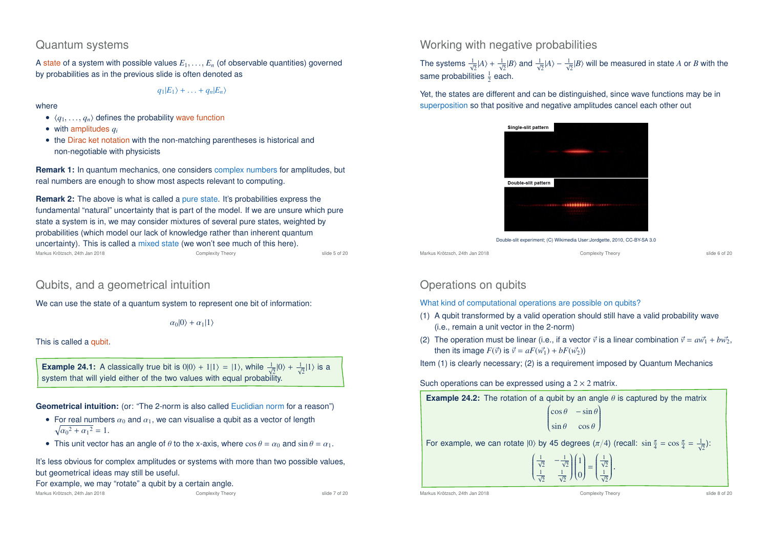### Quantum systems

A state of a system with possible values *E*1, . . . , *E<sup>n</sup>* (of observable quantities) governed by probabilities as in the previous slide is often denoted as

 $q_1|E_1\rangle + \ldots + q_n|E_n\rangle$ 

#### where

- $\langle q_1, \ldots, q_n \rangle$  defines the probability wave function
- with amplitudes *q<sup>i</sup>*
- the Dirac ket notation with the non-matching parentheses is historical and non-negotiable with physicists

**Remark 1:** In quantum mechanics, one considers complex numbers for amplitudes, but real numbers are enough to show most aspects relevant to computing.

**Remark 2:** The above is what is called a pure state. It's probabilities express the fundamental "natural" uncertainty that is part of the model. If we are unsure which pure state a system is in, we may consider mixtures of several pure states, weighted by probabilities (which model our lack of knowledge rather than inherent quantum uncertainty). This is called a mixed state (we won't see much of this here). Markus Krötzsch, 24th Jan 2018 Complexity Theory slide 5 of 20

# Qubits, and a geometrical intuition

We can use the state of a quantum system to represent one bit of information:

 $\alpha_0|0\rangle + \alpha_1|1\rangle$ 

This is called a qubit.

**Example 24.1:** A classically true bit is  $0|0\rangle + 1|1\rangle = |1\rangle$ , while  $\frac{1}{\sqrt{2}}|0\rangle + \frac{1}{\sqrt{2}}|1\rangle$  is a system that will yield either of the two values with equal probability.

**Geometrical intuition:** (or: "The 2-norm is also called Euclidian norm for a reason")

- For real numbers  $\alpha_0$  and  $\alpha_1$ , we can visualise a qubit as a vector of length  $\sqrt{{\alpha_0}^2 + {\alpha_1}^2} = 1.$
- This unit vector has an angle of  $\theta$  to the x-axis, where  $\cos \theta = \alpha_0$  and  $\sin \theta = \alpha_1$ .

It's less obvious for complex amplitudes or systems with more than two possible values, but geometrical ideas may still be useful.

### For example, we may "rotate" a qubit by a certain angle.

Markus Krötzsch, 24th Jan 2018 Complexity Theory slide 7 of 20

### Working with negative probabilities

The systems  $\frac{1}{\sqrt{2}}|A\rangle + \frac{1}{\sqrt{2}}|B\rangle$  and  $\frac{1}{\sqrt{2}}|A\rangle - \frac{1}{\sqrt{2}}|B\rangle$  will be measured in state A or B with the same probabilities  $\frac{1}{2}$  each.

Yet, the states are different and can be distinguished, since wave functions may be in superposition so that positive and negative amplitudes cancel each other out

| Single-slit pattern |  |
|---------------------|--|
|                     |  |
|                     |  |
|                     |  |
|                     |  |
| Double-slit pattern |  |
|                     |  |
|                     |  |
|                     |  |
|                     |  |

Double-slit experiment; (C) Wikimedia User:Jordgette, 2010, CC-BY-SA 3.0

Markus Krötzsch, 24th Jan 2018 Complexity Theory slide 6 of 20

# Operations on qubits

What kind of computational operations are possible on qubits?

- (1) A qubit transformed by a valid operation should still have a valid probability wave (i.e., remain a unit vector in the 2-norm)
- (2) The operation must be linear (i.e., if a vector  $\vec{v}$  is a linear combination  $\vec{v} = a\vec{w_1} + b\vec{w_2}$ , then its image  $F(\vec{v})$  is  $\vec{v} = aF(\vec{w_1}) + bF(\vec{w_2})$

Item (1) is clearly necessary; (2) is a requirement imposed by Quantum Mechanics

### Such operations can be expressed using a  $2 \times 2$  matrix.

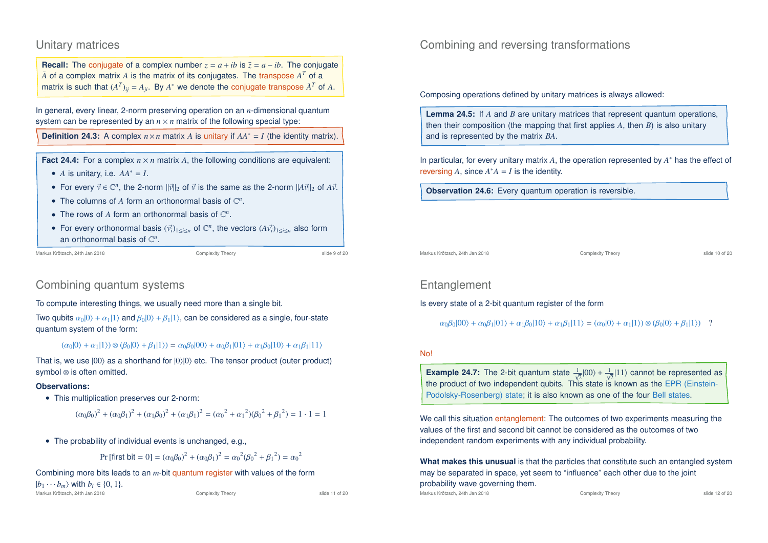## Unitary matrices

**Recall:** The conjugate of a complex number  $z = a + ib$  is  $\overline{z} = a - ib$ . The conjugate  $\bar{A}$  of a complex matrix  $A$  is the matrix of its conjugates. The transpose  $A^T$  of a matrix is such that  $(A^T)_{ij} = A_{ji}$ . By  $A^*$  we denote the conjugate transpose  $\bar{A}^T$  of  $A$ .

In general, every linear, 2-norm preserving operation on an *n*-dimensional quantum system can be represented by an  $n \times n$  matrix of the following special type:

**Definition 24.3:** A complex  $n \times n$  matrix *A* is unitary if  $AA^* = I$  (the identity matrix).

**Fact 24.4:** For a complex  $n \times n$  matrix A, the following conditions are equivalent:

- *A* is unitary, i.e.  $AA^* = I$ .
- For every  $\vec{v} \in \mathbb{C}^n$ , the 2-norm  $\|\vec{v}\|_2$  of  $\vec{v}$  is the same as the 2-norm  $\|A\vec{v}\|_2$  of  $A\vec{v}$ .
- The columns of  $A$  form an orthonormal basis of  $\mathbb{C}^n$ .
- The rows of  $A$  form an orthonormal basis of  $\mathbb{C}^n$ .
- For every orthonormal basis  $(\vec{v}_i)_{1\leq i\leq n}$  of  $\mathbb{C}^n$ , the vectors  $(A\vec{v}_i)_{1\leq i\leq n}$  also form an orthonormal basis of  $\mathbb{C}^n$ .

```
Markus Krötzsch, 24th Jan 2018 Complexity Theory slide 9 of 20
```
# Combining quantum systems

To compute interesting things, we usually need more than a single bit.

Two qubits  $\alpha_0|0\rangle + \alpha_1|1\rangle$  and  $\beta_0|0\rangle + \beta_1|1\rangle$ , can be considered as a single, four-state quantum system of the form:

```
(\alpha_0|0\rangle + \alpha_1|1\rangle) \otimes (\beta_0|0\rangle + \beta_1|1\rangle) = \alpha_0\beta_0|00\rangle + \alpha_0\beta_1|01\rangle + \alpha_1\beta_0|10\rangle + \alpha_1\beta_1|11\rangle
```
That is, we use  $|00\rangle$  as a shorthand for  $|0\rangle|0\rangle$  etc. The tensor product (outer product) symbol ⊗ is often omitted.

### **Observations:**

• This multiplication preserves our 2-norm:

 $(\alpha_0\beta_0)^2 + (\alpha_0\beta_1)^2 + (\alpha_1\beta_0)^2 + (\alpha_1\beta_1)^2 = (\alpha_0^2 + {\alpha_1}^2)(\beta_0^2 + {\beta_1}^2) = 1 \cdot 1 = 1$ 

• The probability of individual events is unchanged, e.g.,

Pr [first bit = 0] =  $(\alpha_0 \beta_0)^2 + (\alpha_0 \beta_1)^2 = {\alpha_0}^2 (\beta_0^2 + {\beta_1}^2) = {\alpha_0}^2$ 

Combining more bits leads to an *m*-bit quantum register with values of the form

 $|b_1 \cdots b_m\rangle$  with  $b_i \in \{0, 1\}.$ 

Combining and reversing transformations

Composing operations defined by unitary matrices is always allowed:

**Lemma 24.5:** If *A* and *B* are unitary matrices that represent quantum operations, then their composition (the mapping that first applies *A*, then *B*) is also unitary and is represented by the matrix *BA*.

In particular, for every unitary matrix *A*, the operation represented by *A* ∗ has the effect of reversing  $A$ , since  $A^*A = I$  is the identity.

**Observation 24.6:** Every quantum operation is reversible.

Markus Krötzsch, 24th Jan 2018 Complexity Theory slide 10 of 20

# **Entanglement**

### Is every state of a 2-bit quantum register of the form

 $\alpha_0\beta_0|00\rangle + \alpha_0\beta_1|01\rangle + \alpha_1\beta_0|10\rangle + \alpha_1\beta_1|11\rangle = (\alpha_0|0\rangle + \alpha_1|1\rangle) \otimes (\beta_0|0\rangle + \beta_1|1\rangle)$ ?

### No!

**Example 24.7:** The 2-bit quantum state  $\frac{1}{\sqrt{2}}|00\rangle + \frac{1}{\sqrt{2}}|11\rangle$  cannot be represented as the product of two independent qubits. This state is known as the EPR (Einstein-Podolsky-Rosenberg) state; it is also known as one of the four Bell states.

We call this situation entanglement: The outcomes of two experiments measuring the values of the first and second bit cannot be considered as the outcomes of two independent random experiments with any individual probability.

**What makes this unusual** is that the particles that constitute such an entangled system may be separated in space, yet seem to "influence" each other due to the joint probability wave governing them.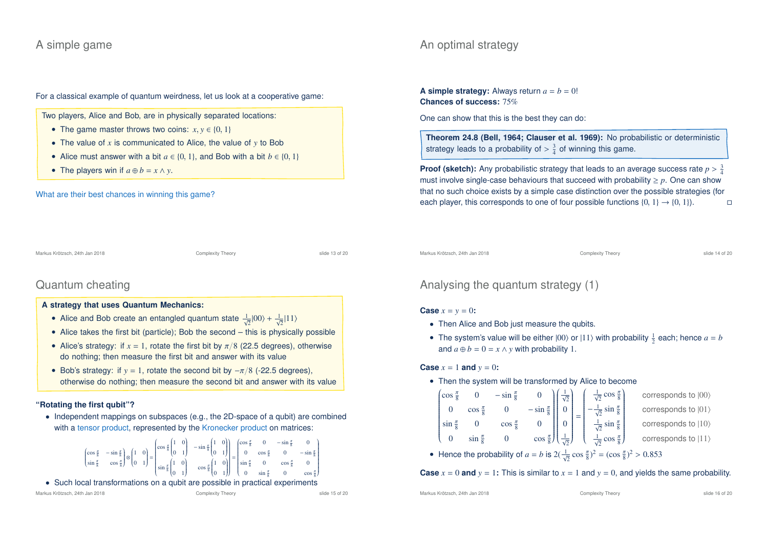## A simple game

# An optimal strategy

For a classical example of quantum weirdness, let us look at a cooperative game:

Two players, Alice and Bob, are in physically separated locations:

- The game master throws two coins:  $x, y \in \{0, 1\}$
- The value of *x* is communicated to Alice, the value of *y* to Bob
- Alice must answer with a bit  $a \in \{0, 1\}$ , and Bob with a bit  $b \in \{0, 1\}$
- The players win if  $a \oplus b = x \wedge y$ .

#### What are their best chances in winning this game?

Markus Krötzsch, 24th Jan 2018 Complexity Theory slide 13 of 20

# Quantum cheating

### **A strategy that uses Quantum Mechanics:**

- Alice and Bob create an entangled quantum state  $\frac{1}{\sqrt{2}}|00\rangle + \frac{1}{\sqrt{2}}|11\rangle$
- Alice takes the first bit (particle); Bob the second this is physically possible
- Alice's strategy: if  $x = 1$ , rotate the first bit by  $\pi/8$  (22.5 degrees), otherwise do nothing; then measure the first bit and answer with its value
- Bob's strategy: if  $y = 1$ , rotate the second bit by  $-\pi/8$  (-22.5 degrees). otherwise do nothing; then measure the second bit and answer with its value

### **"Rotating the first qubit"?**

• Independent mappings on subspaces (e.g., the 2D-space of a qubit) are combined with a tensor product, represented by the Kronecker product on matrices:



• Such local transformations on a qubit are possible in practical experiments

**A simple strategy:** Always return  $a = b = 0!$ **Chances of success:** 75%

One can show that this is the best they can do:

**Theorem 24.8 (Bell, 1964; Clauser et al. 1969):** No probabilistic or deterministic strategy leads to a probability of  $> \frac{3}{4}$  of winning this game.

**Proof (sketch):** Any probabilistic strategy that leads to an average success rate  $p > \frac{3}{4}$ must involve single-case behaviours that succeed with probability  $\geq p$ . One can show that no such choice exists by a simple case distinction over the possible strategies (for each player, this corresponds to one of four possible functions  $\{0, 1\} \rightarrow \{0, 1\}$ .

Markus Krötzsch, 24th Jan 2018 Complexity Theory slide 14 of 20

# Analysing the quantum strategy (1)

### **Case**  $x = y = 0$ **:**

- Then Alice and Bob just measure the qubits.
- The system's value will be either  $|00\rangle$  or  $|11\rangle$  with probability  $\frac{1}{2}$  each; hence  $a = b$ and  $a \oplus b = 0 = x \land y$  with probability 1.

**Case**  $x = 1$  **and**  $y = 0$ **:** 

• Then the system will be transformed by Alice to become

|                                                        |                                                                                                                                                                                                                               |  | $\left(\cos \frac{\pi}{8} \quad 0 \quad -\sin \frac{\pi}{8} \quad 0 \quad \right)\left(\frac{1}{\sqrt{2}}\right) \quad \left(\frac{1}{\sqrt{2}} \cos \frac{\pi}{8}\right)$ | corresponds to $ 00\rangle$ |
|--------------------------------------------------------|-------------------------------------------------------------------------------------------------------------------------------------------------------------------------------------------------------------------------------|--|----------------------------------------------------------------------------------------------------------------------------------------------------------------------------|-----------------------------|
|                                                        |                                                                                                                                                                                                                               |  | 0 $\cos \frac{\pi}{8}$ 0 $-\sin \frac{\pi}{8}$ $\left  \begin{array}{c} 0 \\ 0 \end{array} \right  = \left  -\frac{1}{\sqrt{2}} \sin \frac{\pi}{8} \right $                | corresponds to  01)         |
| $\sin \frac{\pi}{8}$ 0                                 | $\cos \frac{\pi}{8}$                                                                                                                                                                                                          |  | 0 $\begin{bmatrix} 0 & 0 \\ 0 & 0 \end{bmatrix}$ $\frac{1}{\sqrt{2}} \sin \frac{\pi}{8}$                                                                                   | corresponds to (10)         |
| $\begin{pmatrix} 0 & \sin \frac{\pi}{8} \end{pmatrix}$ | $\overline{\mathbf{0}}$                                                                                                                                                                                                       |  | $\cos \frac{\pi}{8}$ $\left(\frac{1}{\sqrt{2}}\right)$ $\left(\frac{1}{\sqrt{2}}\cos \frac{\pi}{8}\right)$                                                                 | corresponds to  11}         |
|                                                        | to the contract of the contract of the Holden and Contract of the Second Contract of the Second Second Second Second Second Second Second Second Second Second Second Second Second Second Second Second Second Second Second |  | $\tau$ : $\alpha$ $\epsilon$ 1 $\pi$ $\sqrt{2}$ $\epsilon$ $\pi$ $\sqrt{2}$ $\alpha$ $\alpha$ $\epsilon$ $\alpha$                                                          |                             |

• Hence the probability of  $a = b$  is  $2(\frac{1}{\sqrt{2}}\cos{\frac{\pi}{8}})^2 = (\cos{\frac{\pi}{8}})^2 > 0.853$ 

### **Case**  $x = 0$  and  $y = 1$ **:** This is similar to  $x = 1$  and  $y = 0$ , and yields the same probability.

Markus Krötzsch, 24th Jan 2018 Complexity Theory slide 16 of 20